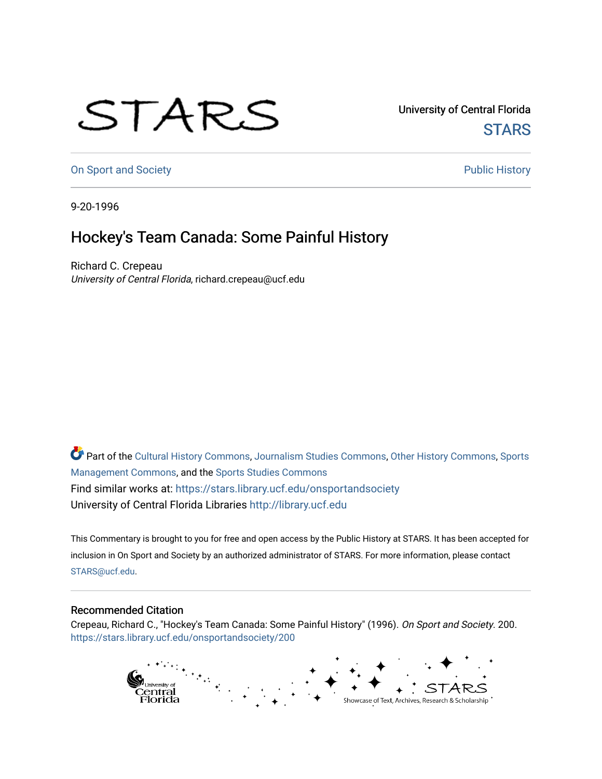## STARS

University of Central Florida **STARS** 

[On Sport and Society](https://stars.library.ucf.edu/onsportandsociety) **Public History** Public History

9-20-1996

## Hockey's Team Canada: Some Painful History

Richard C. Crepeau University of Central Florida, richard.crepeau@ucf.edu

Part of the [Cultural History Commons](http://network.bepress.com/hgg/discipline/496?utm_source=stars.library.ucf.edu%2Fonsportandsociety%2F200&utm_medium=PDF&utm_campaign=PDFCoverPages), [Journalism Studies Commons,](http://network.bepress.com/hgg/discipline/333?utm_source=stars.library.ucf.edu%2Fonsportandsociety%2F200&utm_medium=PDF&utm_campaign=PDFCoverPages) [Other History Commons,](http://network.bepress.com/hgg/discipline/508?utm_source=stars.library.ucf.edu%2Fonsportandsociety%2F200&utm_medium=PDF&utm_campaign=PDFCoverPages) [Sports](http://network.bepress.com/hgg/discipline/1193?utm_source=stars.library.ucf.edu%2Fonsportandsociety%2F200&utm_medium=PDF&utm_campaign=PDFCoverPages) [Management Commons](http://network.bepress.com/hgg/discipline/1193?utm_source=stars.library.ucf.edu%2Fonsportandsociety%2F200&utm_medium=PDF&utm_campaign=PDFCoverPages), and the [Sports Studies Commons](http://network.bepress.com/hgg/discipline/1198?utm_source=stars.library.ucf.edu%2Fonsportandsociety%2F200&utm_medium=PDF&utm_campaign=PDFCoverPages) Find similar works at: <https://stars.library.ucf.edu/onsportandsociety> University of Central Florida Libraries [http://library.ucf.edu](http://library.ucf.edu/) 

This Commentary is brought to you for free and open access by the Public History at STARS. It has been accepted for inclusion in On Sport and Society by an authorized administrator of STARS. For more information, please contact [STARS@ucf.edu](mailto:STARS@ucf.edu).

## Recommended Citation

Crepeau, Richard C., "Hockey's Team Canada: Some Painful History" (1996). On Sport and Society. 200. [https://stars.library.ucf.edu/onsportandsociety/200](https://stars.library.ucf.edu/onsportandsociety/200?utm_source=stars.library.ucf.edu%2Fonsportandsociety%2F200&utm_medium=PDF&utm_campaign=PDFCoverPages)

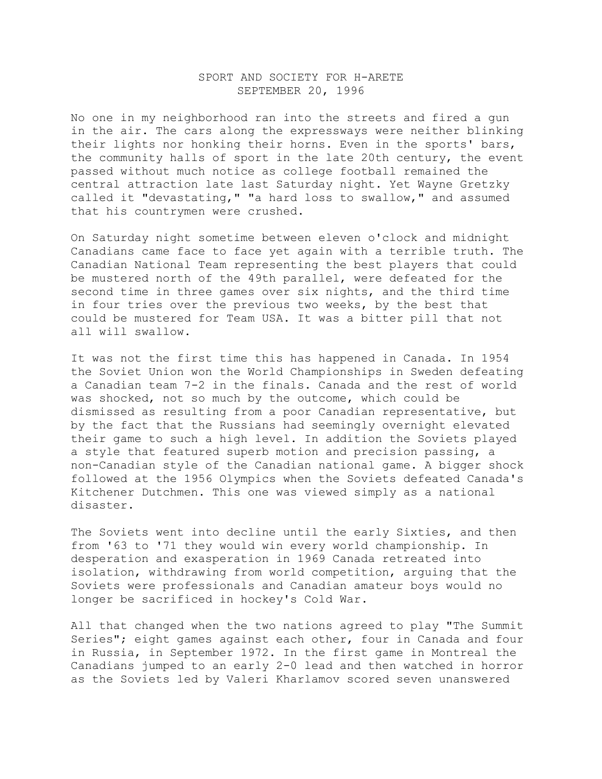## SPORT AND SOCIETY FOR H-ARETE SEPTEMBER 20, 1996

No one in my neighborhood ran into the streets and fired a gun in the air. The cars along the expressways were neither blinking their lights nor honking their horns. Even in the sports' bars, the community halls of sport in the late 20th century, the event passed without much notice as college football remained the central attraction late last Saturday night. Yet Wayne Gretzky called it "devastating," "a hard loss to swallow," and assumed that his countrymen were crushed.

On Saturday night sometime between eleven o'clock and midnight Canadians came face to face yet again with a terrible truth. The Canadian National Team representing the best players that could be mustered north of the 49th parallel, were defeated for the second time in three games over six nights, and the third time in four tries over the previous two weeks, by the best that could be mustered for Team USA. It was a bitter pill that not all will swallow.

It was not the first time this has happened in Canada. In 1954 the Soviet Union won the World Championships in Sweden defeating a Canadian team 7-2 in the finals. Canada and the rest of world was shocked, not so much by the outcome, which could be dismissed as resulting from a poor Canadian representative, but by the fact that the Russians had seemingly overnight elevated their game to such a high level. In addition the Soviets played a style that featured superb motion and precision passing, a non-Canadian style of the Canadian national game. A bigger shock followed at the 1956 Olympics when the Soviets defeated Canada's Kitchener Dutchmen. This one was viewed simply as a national disaster.

The Soviets went into decline until the early Sixties, and then from '63 to '71 they would win every world championship. In desperation and exasperation in 1969 Canada retreated into isolation, withdrawing from world competition, arguing that the Soviets were professionals and Canadian amateur boys would no longer be sacrificed in hockey's Cold War.

All that changed when the two nations agreed to play "The Summit Series"; eight games against each other, four in Canada and four in Russia, in September 1972. In the first game in Montreal the Canadians jumped to an early 2-0 lead and then watched in horror as the Soviets led by Valeri Kharlamov scored seven unanswered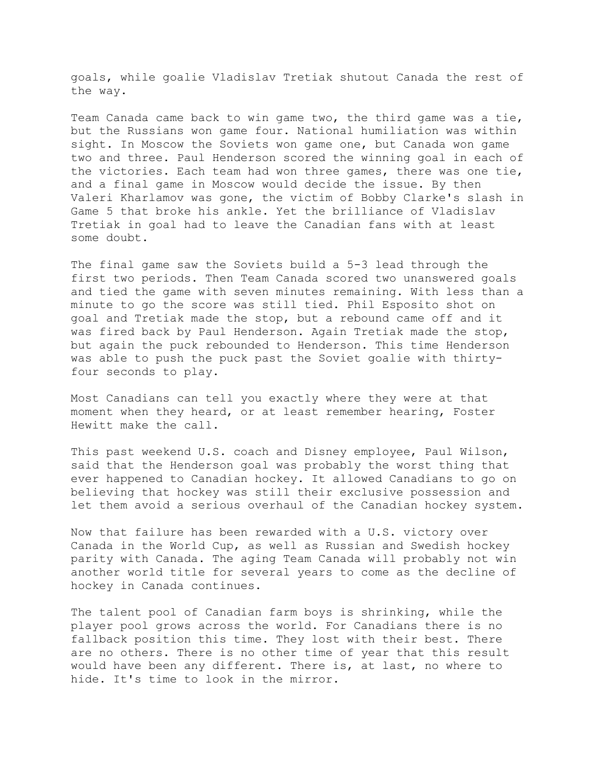goals, while goalie Vladislav Tretiak shutout Canada the rest of the way.

Team Canada came back to win game two, the third game was a tie, but the Russians won game four. National humiliation was within sight. In Moscow the Soviets won game one, but Canada won game two and three. Paul Henderson scored the winning goal in each of the victories. Each team had won three games, there was one tie, and a final game in Moscow would decide the issue. By then Valeri Kharlamov was gone, the victim of Bobby Clarke's slash in Game 5 that broke his ankle. Yet the brilliance of Vladislav Tretiak in goal had to leave the Canadian fans with at least some doubt.

The final game saw the Soviets build a 5-3 lead through the first two periods. Then Team Canada scored two unanswered goals and tied the game with seven minutes remaining. With less than a minute to go the score was still tied. Phil Esposito shot on goal and Tretiak made the stop, but a rebound came off and it was fired back by Paul Henderson. Again Tretiak made the stop, but again the puck rebounded to Henderson. This time Henderson was able to push the puck past the Soviet goalie with thirtyfour seconds to play.

Most Canadians can tell you exactly where they were at that moment when they heard, or at least remember hearing, Foster Hewitt make the call.

This past weekend U.S. coach and Disney employee, Paul Wilson, said that the Henderson goal was probably the worst thing that ever happened to Canadian hockey. It allowed Canadians to go on believing that hockey was still their exclusive possession and let them avoid a serious overhaul of the Canadian hockey system.

Now that failure has been rewarded with a U.S. victory over Canada in the World Cup, as well as Russian and Swedish hockey parity with Canada. The aging Team Canada will probably not win another world title for several years to come as the decline of hockey in Canada continues.

The talent pool of Canadian farm boys is shrinking, while the player pool grows across the world. For Canadians there is no fallback position this time. They lost with their best. There are no others. There is no other time of year that this result would have been any different. There is, at last, no where to hide. It's time to look in the mirror.